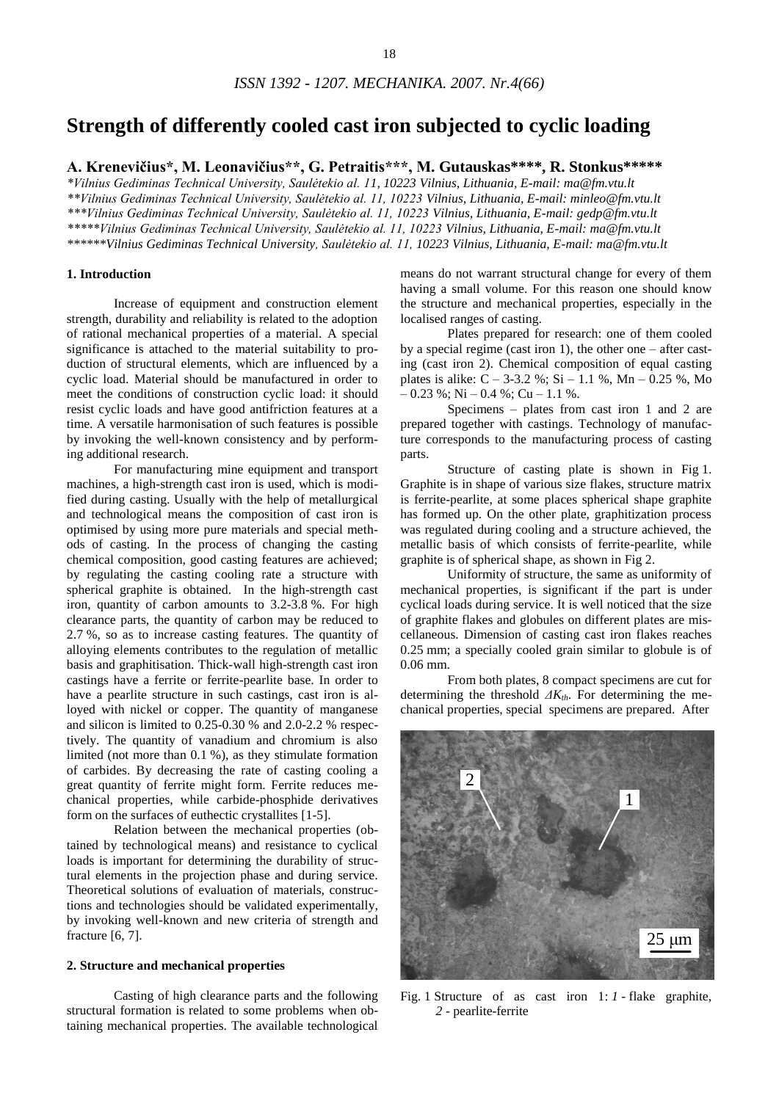# **Strength of differently cooled cast iron subjected to cyclic loading**

**A. Krenevičius\*, M. Leonavičius\*\*, G. Petraitis\*\*\*, M. Gutauskas\*\*\*\*, R. Stonkus\*\*\*\*\***

*\*Vilnius Gediminas Technical University, Saulėtekio al. 11, 10223 Vilnius, Lithuania, E-mail: ma@fm.vtu.lt \*\*Vilnius Gediminas Technical University, Saulėtekio al. 11, 10223 Vilnius, Lithuania, E-mail: minleo@fm.vtu.lt \*\*\*Vilnius Gediminas Technical University, Saulėtekio al. 11, 10223 Vilnius, Lithuania, E-mail: gedp@fm.vtu.lt \*\*\*\*\*Vilnius Gediminas Technical University, Saulėtekio al. 11, 10223 Vilnius, Lithuania, E-mail: ma@fm.vtu.lt \*\*\*\*\*\*Vilnius Gediminas Technical University, Saulėtekio al. 11, 10223 Vilnius, Lithuania, E-mail: ma@fm.vtu.lt*

## **1. Introduction**

Increase of equipment and construction element strength, durability and reliability is related to the adoption of rational mechanical properties of a material. A special significance is attached to the material suitability to production of structural elements, which are influenced by a cyclic load. Material should be manufactured in order to meet the conditions of construction cyclic load: it should resist cyclic loads and have good antifriction features at a time. A versatile harmonisation of such features is possible by invoking the well-known consistency and by performing additional research.

For manufacturing mine equipment and transport machines, a high-strength cast iron is used, which is modified during casting. Usually with the help of metallurgical and technological means the composition of cast iron is optimised by using more pure materials and special methods of casting. In the process of changing the casting chemical composition, good casting features are achieved; by regulating the casting cooling rate a structure with spherical graphite is obtained. In the high-strength cast iron, quantity of carbon amounts to 3.2-3.8 %. For high clearance parts, the quantity of carbon may be reduced to 2.7 %, so as to increase casting features. The quantity of alloying elements contributes to the regulation of metallic basis and graphitisation. Thick-wall high-strength cast iron castings have a ferrite or ferrite-pearlite base. In order to have a pearlite structure in such castings, cast iron is alloyed with nickel or copper. The quantity of manganese and silicon is limited to 0.25-0.30 % and 2.0-2.2 % respectively. The quantity of vanadium and chromium is also limited (not more than 0.1 %), as they stimulate formation of carbides. By decreasing the rate of casting cooling a great quantity of ferrite might form. Ferrite reduces mechanical properties, while carbide-phosphide derivatives form on the surfaces of euthectic crystallites [1-5].

Relation between the mechanical properties (obtained by technological means) and resistance to cyclical loads is important for determining the durability of structural elements in the projection phase and during service. Theoretical solutions of evaluation of materials, constructions and technologies should be validated experimentally, by invoking well-known and new criteria of strength and fracture [6, 7].

# **2. Structure and mechanical properties**

Casting of high clearance parts and the following structural formation is related to some problems when obtaining mechanical properties. The available technological means do not warrant structural change for every of them having a small volume. For this reason one should know the structure and mechanical properties, especially in the localised ranges of casting.

Plates prepared for research: one of them cooled by a special regime (cast iron 1), the other one – after casting (cast iron 2). Chemical composition of equal casting plates is alike:  $C - 3-3.2$  %;  $Si - 1.1$  %,  $Mn - 0.25$  %, Mo  $-0.23\%$ ; Ni  $-0.4\%$ ; Cu  $-1.1\%$ .

Specimens – plates from cast iron 1 and 2 are prepared together with castings. Technology of manufacture corresponds to the manufacturing process of casting parts.

Structure of casting plate is shown in Fig 1. Graphite is in shape of various size flakes, structure matrix is ferrite-pearlite, at some places spherical shape graphite has formed up. On the other plate, graphitization process was regulated during cooling and a structure achieved, the metallic basis of which consists of ferrite-pearlite, while graphite is of spherical shape, as shown in Fig 2.

Uniformity of structure, the same as uniformity of mechanical properties, is significant if the part is under cyclical loads during service. It is well noticed that the size of graphite flakes and globules on different plates are miscellaneous. Dimension of casting cast iron flakes reaches 0.25 mm; a specially cooled grain similar to globule is of 0.06 mm.

From both plates, 8 compact specimens are cut for determining the threshold *ΔKth*. For determining the mechanical properties, special specimens are prepared. After



Fig. 1 Structure of as cast iron 1: *1* - flake graphite, *2* - pearlite-ferrite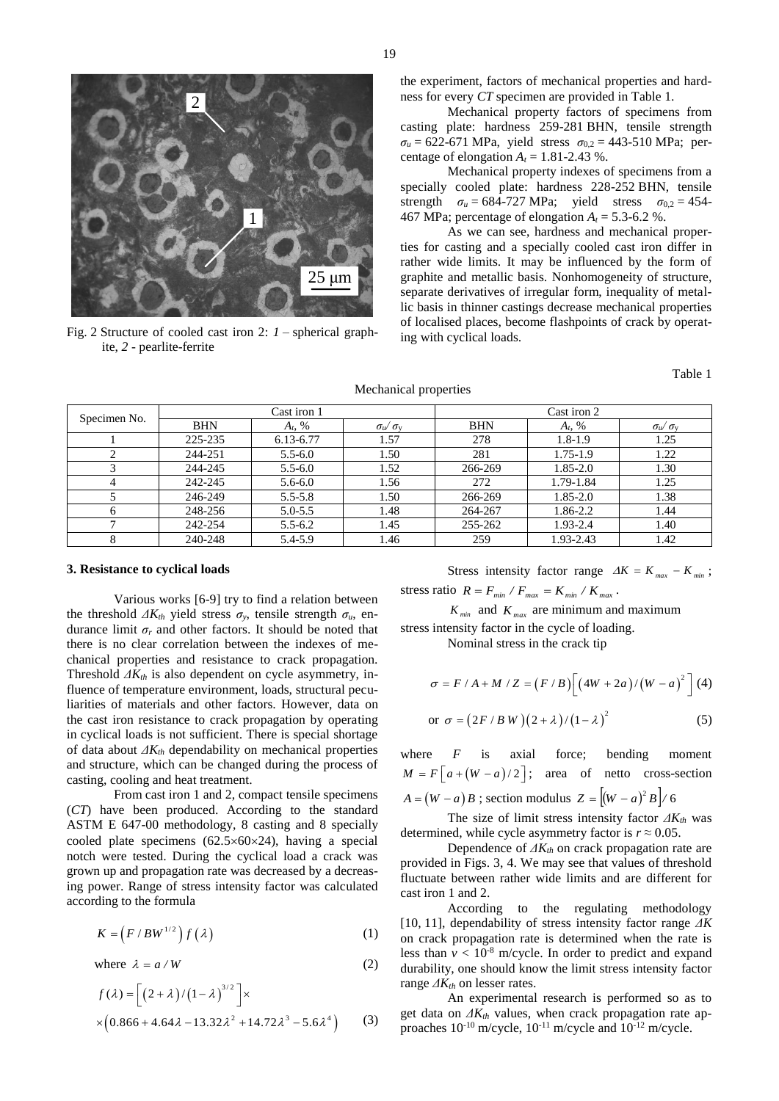

Fig. 2 Structure of cooled cast iron 2: *1* – spherical graphite, *2* - pearlite-ferrite

the experiment, factors of mechanical properties and hardness for every *CT* specimen are provided in Table 1.

Mechanical property factors of specimens from casting plate: hardness 259-281 BHN, tensile strength  $σ<sub>u</sub> = 622-671 MPa$ , yield stress  $σ<sub>0.2</sub> = 443-510 MPa$ ; percentage of elongation  $A_t = 1.81 - 2.43$  %.

Mechanical property indexes of specimens from a specially cooled plate: hardness 228-252 BHN, tensile strength  $\sigma_u = 684-727 \text{ MPa}$ ; yield stress  $\sigma_{0.2} = 454-$ 467 MPa; percentage of elongation  $A_t = 5.3$ -6.2 %.

As we can see, hardness and mechanical properties for casting and a specially cooled cast iron differ in rather wide limits. It may be influenced by the form of graphite and metallic basis. Nonhomogeneity of structure, separate derivatives of irregular form, inequality of metallic basis in thinner castings decrease mechanical properties of localised places, become flashpoints of crack by operating with cyclical loads.

Table 1

| Specimen No. | Cast iron 1 |             |                                 | Cast iron 2 |              |                                 |
|--------------|-------------|-------------|---------------------------------|-------------|--------------|---------------------------------|
|              | <b>BHN</b>  | $A_t, \%$   | $\sigma_{\rm u}/\sigma_{\rm v}$ | <b>BHN</b>  | $A_t, \%$    | $\sigma_{\rm u}/\sigma_{\rm v}$ |
|              | 225-235     | 6.13-6.77   | 1.57                            | 278         | $1.8 - 1.9$  | 1.25                            |
|              | 244-251     | $5.5 - 6.0$ | 1.50                            | 281         | $1.75 - 1.9$ | 1.22                            |
|              | 244-245     | $5.5 - 6.0$ | 1.52                            | 266-269     | $1.85 - 2.0$ | 1.30                            |
| 4            | 242-245     | $5.6 - 6.0$ | 1.56                            | 272         | 1.79-1.84    | 1.25                            |
|              | 246-249     | $5.5 - 5.8$ | 1.50                            | 266-269     | $1.85 - 2.0$ | 1.38                            |
|              | 248-256     | $5.0 - 5.5$ | 1.48                            | 264-267     | 1.86-2.2     | 1.44                            |
|              | 242-254     | $5.5 - 6.2$ | 1.45                            | 255-262     | 1.93-2.4     | 1.40                            |
|              | 240-248     | 5.4-5.9     | 1.46                            | 259         | 1.93-2.43    | 1.42                            |

#### Mechanical properties

#### **3. Resistance to cyclical loads**

Various works [6-9] try to find a relation between the threshold  $\Delta K_{th}$  yield stress  $\sigma_y$ , tensile strength  $\sigma_u$ , endurance limit  $\sigma_r$  and other factors. It should be noted that there is no clear correlation between the indexes of mechanical properties and resistance to crack propagation. Threshold *ΔKth* is also dependent on cycle asymmetry, influence of temperature environment, loads, structural peculiarities of materials and other factors. However, data on the cast iron resistance to crack propagation by operating in cyclical loads is not sufficient. There is special shortage of data about *ΔKth* dependability on mechanical properties and structure, which can be changed during the process of casting, cooling and heat treatment.

From cast iron 1 and 2, compact tensile specimens (*CT*) have been produced. According to the standard ASTM E 647-00 methodology, 8 casting and 8 specially cooled plate specimens  $(62.5 \times 60 \times 24)$ , having a special notch were tested. During the cyclical load a crack was grown up and propagation rate was decreased by a decreasing power. Range of stress intensity factor was calculated according to the formula

$$
K = (F/BW^{1/2})f(\lambda)
$$
 (1)

where  $\lambda = a/W$ (2)

$$
f(\lambda) = \left[ (2 + \lambda) / (1 - \lambda)^{3/2} \right] \times
$$
  
 
$$
\times (0.866 + 4.64\lambda - 13.32\lambda^2 + 14.72\lambda^3 - 5.6\lambda^4)
$$
 (3)

Stress intensity factor range  $\Delta K = K_{max} - K_{min}$ ;

stress ratio 
$$
R = F_{min} / F_{max} = K_{min} / K_{max}
$$
.

 $K_{min}$  and  $K_{max}$  are minimum and maximum stress intensity factor in the cycle of loading.

Nominal stress in the crack tip

$$
\sigma = F / A + M / Z = (F / B) \Big[ (4W + 2a) / (W - a)^{2} \Big] (4)
$$
  
or 
$$
\sigma = (2F / B W) (2 + \lambda) / (1 - \lambda)^{2}
$$
 (5)

where *F* is axial force; bending moment  $M = F\left[a + (W - a)/2\right]$ ; area of netto cross-section  $A = (W - a)B$ ; section modulus  $Z = [(W - a)^2 B] / 6$ 

The size of limit stress intensity factor *ΔKth* was determined, while cycle asymmetry factor is  $r \approx 0.05$ .

Dependence of *ΔKth* on crack propagation rate are provided in Figs. 3, 4. We may see that values of threshold fluctuate between rather wide limits and are different for cast iron 1 and 2.

According to the regulating methodology [10, 11], dependability of stress intensity factor range *ΔK* on crack propagation rate is determined when the rate is less than  $v < 10^{-8}$  m/cycle. In order to predict and expand durability, one should know the limit stress intensity factor range *ΔKth* on lesser rates.

An experimental research is performed so as to get data on  $\Delta K_{th}$  values, when crack propagation rate approaches  $10^{-10}$  m/cycle,  $10^{-11}$  m/cycle and  $10^{-12}$  m/cycle.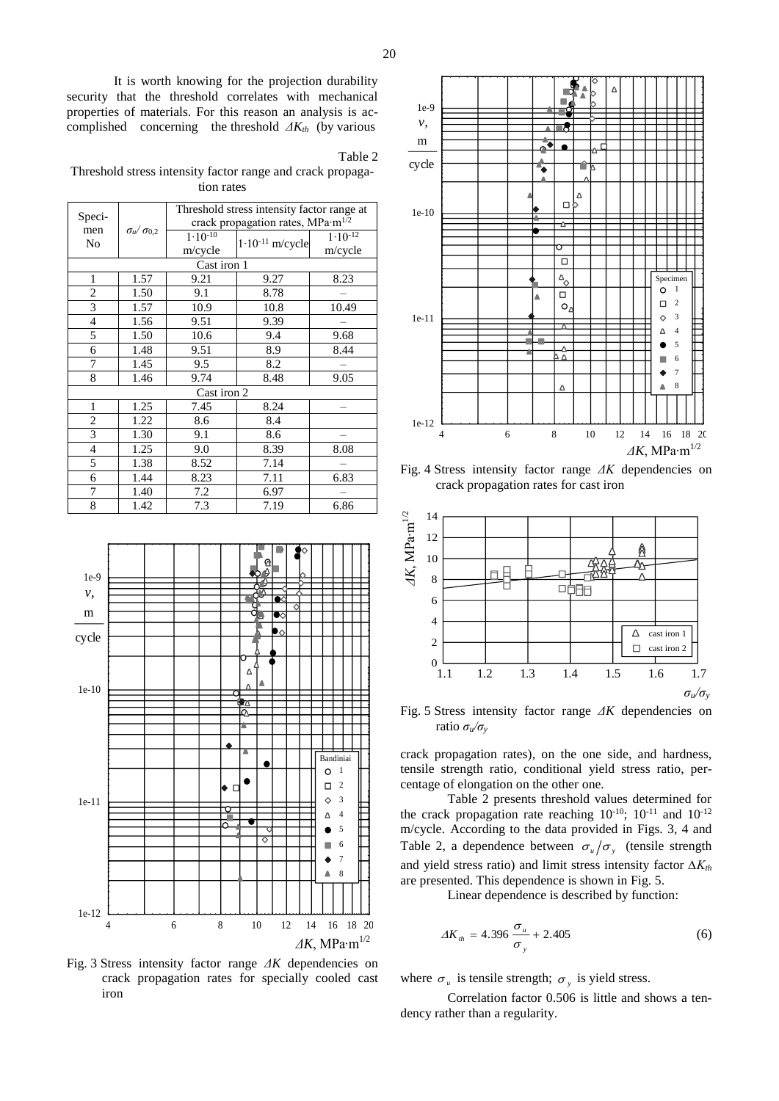It is worth knowing for the projection durability security that the threshold correlates with mechanical properties of materials. For this reason an analysis is accomplished concerning the threshold *ΔKth* (by various

Table 2

Threshold stress intensity factor range and crack propagation rates

| Speci-                  |                         | Threshold stress intensity factor range at    |                      |              |  |  |  |  |  |
|-------------------------|-------------------------|-----------------------------------------------|----------------------|--------------|--|--|--|--|--|
|                         |                         | crack propagation rates, MPa·m <sup>1/2</sup> |                      |              |  |  |  |  |  |
| men                     | $\sigma_u/\sigma_{0,2}$ | $1.10^{-10}$                                  | $1.10^{-11}$ m/cycle | $1.10^{-12}$ |  |  |  |  |  |
| No                      |                         | m/cycle                                       |                      | m/cycle      |  |  |  |  |  |
| Cast iron 1             |                         |                                               |                      |              |  |  |  |  |  |
| 1                       | 1.57                    | 9.21                                          | 9.27                 | 8.23         |  |  |  |  |  |
| $\overline{c}$          | 1.50                    | 9.1                                           | 8.78                 |              |  |  |  |  |  |
| 3                       | 1.57                    | 10.9                                          | 10.8                 | 10.49        |  |  |  |  |  |
| 4                       | 1.56                    | 9.51                                          | 9.39                 |              |  |  |  |  |  |
| 5                       | 1.50                    | 10.6                                          | 9.4                  | 9.68         |  |  |  |  |  |
| 6                       | 1.48                    | 9.51                                          | 8.9                  | 8.44         |  |  |  |  |  |
| 7                       | 1.45                    | 9.5                                           | 8.2                  |              |  |  |  |  |  |
| 8                       | 1.46                    | 9.74                                          | 8.48                 | 9.05         |  |  |  |  |  |
| Cast iron 2             |                         |                                               |                      |              |  |  |  |  |  |
| $\mathbf{1}$            | 1.25                    | 7.45                                          | 8.24                 |              |  |  |  |  |  |
| $\overline{\mathbf{c}}$ | 1.22                    | 8.6                                           | 8.4                  |              |  |  |  |  |  |
| $\overline{3}$          | 1.30                    | 9.1                                           | 8.6                  |              |  |  |  |  |  |
| $\overline{4}$          | 1.25                    | 9.0                                           | 8.39                 | 8.08         |  |  |  |  |  |
| 5                       | 1.38                    | 8.52                                          | 7.14                 |              |  |  |  |  |  |
| 6                       | 1.44                    | 8.23                                          | 7.11                 | 6.83         |  |  |  |  |  |
| 7                       | 1.40                    | 7.2                                           | 6.97                 |              |  |  |  |  |  |
| 8                       | 1.42                    | 7.3                                           | 7.19                 | 6.86         |  |  |  |  |  |



Fig. 3 Stress intensity factor range *ΔK* dependencies on crack propagation rates for specially cooled cast iron



Fig. 4 Stress intensity factor range *ΔK* dependencies on crack propagation rates for cast iron



Fig. 5 Stress intensity factor range *ΔK* dependencies on ratio *σu/σ<sup>y</sup>*

1 tensile strength ratio, conditional yield stress ratio, per- $\parallel$  | centage of elongation on the other one. crack propagation rates), on the one side, and hardness,

<sup>3</sup>  $\mathbb{H}$  Table 2 presents threshold values determined for <sup>4</sup>  $\Box$  the crack propagation rate reaching 10<sup>-10</sup>; 10<sup>-11</sup> and 10<sup>-12</sup> <sup>5</sup> m/cycle. According to the data provided in Figs. 3, 4 and <sup>6</sup>  $\mathbb{H}$  Table 2, a dependence between  $\sigma_u/\sigma_y$  (tensile strength 7 and yield stress ratio) and limit stress intensity factor *∆Kth*  $\overset{8}{\leftarrow}$  are presented. This dependence is shown in Fig. 5.

Linear dependence is described by function:

$$
\Delta K_{th} = 4.396 \frac{\sigma_u}{\sigma_y} + 2.405 \tag{6}
$$

where  $\sigma_u$  is tensile strength;  $\sigma_y$  is yield stress.

Correlation factor 0.506 is little and shows a tendency rather than a regularity.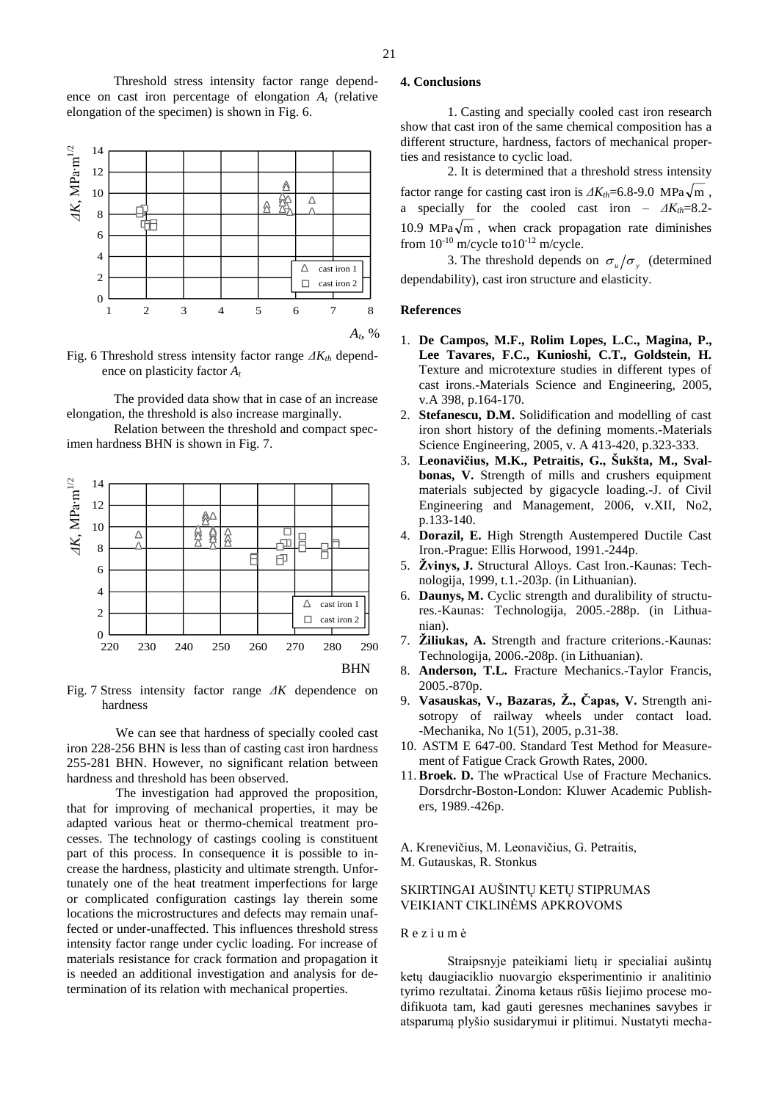Threshold stress intensity factor range dependence on cast iron percentage of elongation *A<sup>t</sup>* (relative elongation of the specimen) is shown in Fig. 6.



Fig. 6 Threshold stress intensity factor range *ΔKth* dependence on plasticity factor *A<sup>t</sup>*

The provided data show that in case of an increase elongation, the threshold is also increase marginally.

Relation between the threshold and compact specimen hardness BHN is shown in Fig. 7.



Fig. 7 Stress intensity factor range *ΔK* dependence on hardness

We can see that hardness of specially cooled cast iron 228-256 BHN is less than of casting cast iron hardness 255-281 BHN. However, no significant relation between hardness and threshold has been observed.

The investigation had approved the proposition, that for improving of mechanical properties, it may be adapted various heat or thermo-chemical treatment processes. The technology of castings cooling is constituent part of this process. In consequence it is possible to increase the hardness, plasticity and ultimate strength. Unfortunately one of the heat treatment imperfections for large or complicated configuration castings lay therein some locations the microstructures and defects may remain unaffected or under-unaffected. This influences threshold stress intensity factor range under cyclic loading. For increase of materials resistance for crack formation and propagation it is needed an additional investigation and analysis for determination of its relation with mechanical properties.

## **4. Conclusions**

1. Casting and specially cooled cast iron research show that cast iron of the same chemical composition has a different structure, hardness, factors of mechanical properties and resistance to cyclic load.

2. It is determined that a threshold stress intensity factor range for casting cast iron is  $\Delta K_{th} = 6.8$ -9.0 MPa $\sqrt{\text{m}}$ , a specially for the cooled cast iron *– ΔKth*=8.2- 10.9 MPa $\sqrt{m}$ , when crack propagation rate diminishes from  $10^{-10}$  m/cycle to  $10^{-12}$  m/cycle.

 $\frac{1}{\text{cast iron 1}}$  3. The threshold depends on  $\sigma_u / \sigma_y$  (determined  $_{\text{cast iron 2}}$  | dependability), cast iron structure and elasticity.

### **References**

- 1. **De Campos, M.F., Rolim Lopes, L.C., Magina, P., Lee Tavares, F.C., Kunioshi, C.T., Goldstein, H.** Texture and microtexture studies in different types of cast irons.-Materials Science and Engineering, 2005, v.A 398, p.164-170.
- 2. **Stefanescu, D.M.** Solidification and modelling of cast iron short history of the defining moments.-Materials Science Engineering, 2005, v. A 413-420, p.323-333.
- 3. **Leonavičius, M.K., Petraitis, G., Šukšta, M., Svalbonas, V.** Strength of mills and crushers equipment materials subjected by gigacycle loading.-J. of Civil Engineering and Management, 2006, v.XII, No2, p.133-140.
- 4. **Dorazil, E.** High Strength Austempered Ductile Cast Iron.-Prague: Ellis Horwood, 1991.-244p.
- 5. **Žvinys, J.** Structural Alloys. Cast Iron.-Kaunas: Technologija, 1999, t.1.-203p. (in Lithuanian).
- $\begin{bmatrix} \text{cast iron 1} \\ \text{res.}-\text{Kaunas:} \end{bmatrix}$  Technologija, 2005.-288p. (in Lithua-6. **Daunys, M.** Cyclic strength and duralibility of structunian).
	- 7. **Žiliukas, A.** Strength and fracture criterions.-Kaunas:
	- 8. **Anderson, T.L.** Fracture Mechanics.-Taylor Francis, 2005.-870p.
	- 9. **Vasauskas, V., Bazaras, Ž., Čapas, V.** Strength anisotropy of railway wheels under contact load. -Mechanika, No 1(51), 2005, p.31-38.
	- 10. ASTM E 647-00. Standard Test Method for Measurement of Fatigue Crack Growth Rates, 2000.
	- 11.**Broek. D.** The wPractical Use of Fracture Mechanics. Dorsdrchr-Boston-London: Kluwer Academic Publishers, 1989.-426p.

A. Krenevičius, M. Leonavičius, G. Petraitis, M. Gutauskas, R. Stonkus

## SKIRTINGAI AUŠINTŲ KETŲ STIPRUMAS VEIKIANT CIKLINĖMS APKROVOMS

## R e z i u m ė

Straipsnyje pateikiami lietų ir specialiai aušintų ketų daugiaciklio nuovargio eksperimentinio ir analitinio tyrimo rezultatai. Žinoma ketaus rūšis liejimo procese modifikuota tam, kad gauti geresnes mechanines savybes ir atsparumą plyšio susidarymui ir plitimui. Nustatyti mecha-